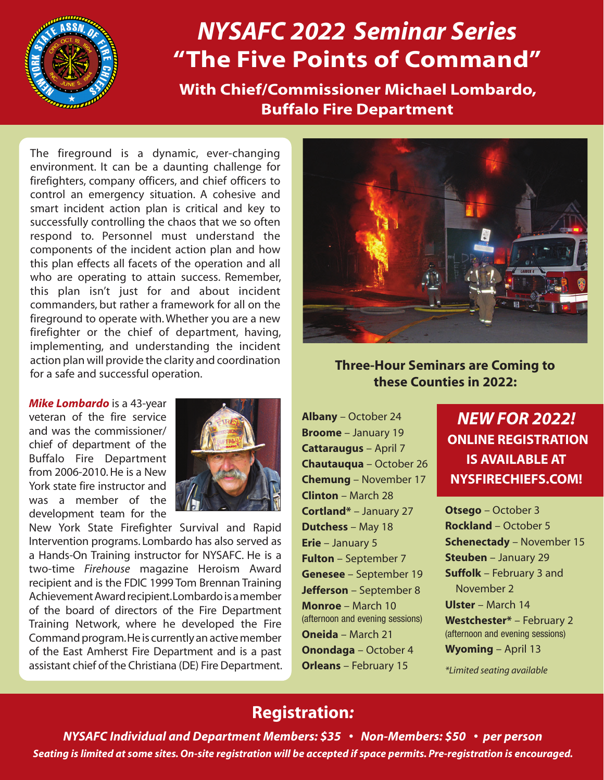

# *NYSAFC 2022 Seminar Series* **"The Five Points of Command"**

**With Chief/Commissioner Michael Lombardo, Buffalo Fire Department**

The fireground is a dynamic, ever-changing environment. It can be a daunting challenge for firefighters, company officers, and chief officers to control an emergency situation. A cohesive and smart incident action plan is critical and key to successfully controlling the chaos that we so often respond to. Personnel must understand the components of the incident action plan and how this plan effects all facets of the operation and all who are operating to attain success. Remember, this plan isn't just for and about incident commanders, but rather a framework for all on the fireground to operate with. Whether you are a new firefighter or the chief of department, having, implementing, and understanding the incident action plan will provide the clarity and coordination for a safe and successful operation.

*Mike Lombardo* is a 43-year veteran of the fire service and was the commissioner/ chief of department of the Buffalo Fire Department from 2006-2010. He is a New York state fire instructor and was a member of the development team for the



New York State Firefighter Survival and Rapid Intervention programs. Lombardo has also served as a Hands-On Training instructor for NYSAFC. He is a two-time *Firehouse* magazine Heroism Award recipient and is the FDIC 1999 Tom Brennan Training Achievement Award recipient. Lombardo is a member of the board of directors of the Fire Department Training Network, where he developed the Fire Command program. He is currently an active member of the East Amherst Fire Department and is a past assistant chief of the Christiana (DE) Fire Department.



**Three-Hour Seminars are Coming to these Counties in 2022:**

**Albany** – October 24 **Broome** – January 19 **Cattaraugus** – April 7 **Chautauqua** – October 26 **Chemung** – November 17 **Clinton** – March 28 **Cortland\*** – January 27 **Dutchess** – May 18 **Erie** – January 5 **Fulton** – September 7 **Genesee** – September 19 **Jefferson** – September 8 **Monroe** – March 10 (afternoon and evening sessions) **Oneida** – March 21 **Onondaga** – October 4 **Orleans** – February 15

## *NEW FOR 2022!* **ONLINE REGISTRATION IS AVAILABLE AT NYSFIRECHIEFS.COM!**

**Otsego** – October 3 **Rockland** – October 5 **Schenectady** – November 15 **Steuben** – January 29 **Suffolk** – February 3 and November 2 **Ulster** – March 14 **Westchester\*** – February 2 (afternoon and evening sessions) **Wyoming** – April 13

*\*Limited seating available*

## **Registration***:*

*NYSAFC Individual and Department Members: \$35 • Non-Members: \$50 • per person Seating is limited at some sites. On-site registration will be accepted if space permits. Pre-registration is encouraged.*